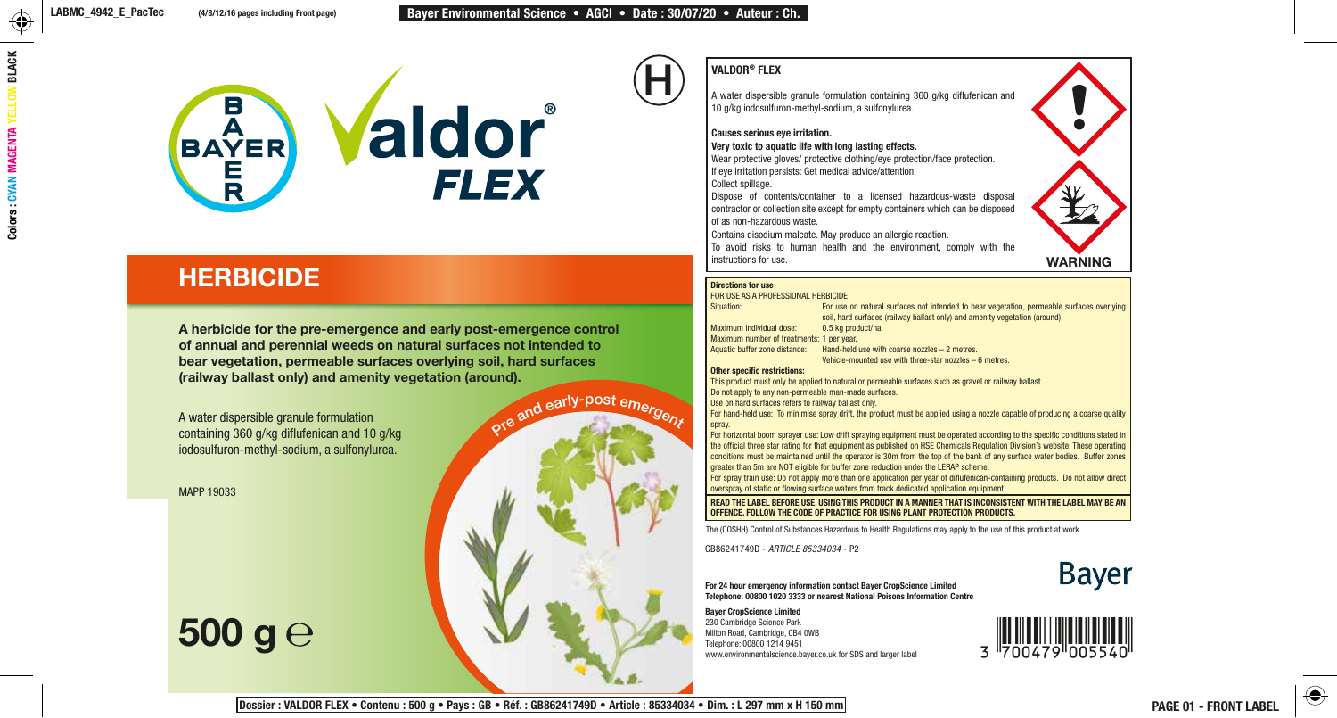

## **HERBICIDE**

A herbicide for the pre-emergence and early post-emergence control of annual and perennial weeds on natural surfaces not intended to bear vegetation, permeable surfaces overlying soil, hard surfaces (railway ballast only) and amenity vegetation (around).

A water dispersible granule formulation containing 360 g/kg diflufenican and 10 g/kg iodosulfuron-methyl-sodium, a sulfonylurea.

MAPP 19033

# 500 g $\rm{e}$

## VALDOR® FLEX

H

A water dispersible granule formulation containing 360 g/kg diflufenican and 10 g/kg iodosulfuron-methyl-sodium, a sulfonylurea.

Causes serious eye irritation.

Very toxic to aquatic life with long lasting effects.

Wear protective gloves/ protective clothing/eye protection/face protection. If eye irritation persists: Get medical advice/attention.

Collect spillage.

Dispose of contents/container to a licensed hazardous-waste disposal contractor or collection site except for empty containers which can be disposed of as non-hazardous waste.

Contains disodium maleate. May produce an allergic reaction.

To avoid risks to human health and the environment, comply with the instructions for use.

WARNING

#### Directions for use

pre and early-post emergent

FOR USE AS A PROFESSIONAL HERBICIDE For use on natural surfaces not intended to bear vegetation, permeable surfaces overlying soil, hard surfaces (railway ballast only) and amenity vegetation (around). Maximum individual dose: 0.5 kg product/ha. **Maximum number of treatments: 1 per year.**<br>Aquatic buffer zone distance: Hand-held Hand-held use with coarse nozzles  $-2$  metres. Vehicle-mounted use with three-star nozzles – 6 metres. Other specific restrictions:

This product must only be applied to natural or permeable surfaces such as gravel or railway ballast. Do not apply to any non-permeable man-made surfaces.

Use on hard surfaces refers to railway ballast only.

For hand-held use: To minimise spray drift, the product must be applied using a nozzle capable of producing a coarse quality spray.

For horizontal boom sprayer use: Low drift spraying equipment must be operated according to the specific conditions stated in the official three star rating for that equipment as published on HSE Chemicals Regulation Division's website. These operating conditions must be maintained until the operator is 30m from the top of the bank of any surface water bodies. Buffer zones greater than 5m are NOT eligible for buffer zone reduction under the LERAP scheme.

For spray train use: Do not apply more than one application per year of diflufenican-containing products. Do not allow direct overspray of static or flowing surface waters from track dedicated application equipment.

READ THE LABEL BEFORE USE. USING THIS PRODUCT IN A MANNER THAT IS INCONSISTENT WITH THE LABEL MAY BE AN OFFENCE. FOLLOW THE CODE OF PRACTICE FOR USING PLANT PROTECTION PRODUCTS.

The (COSHH) Control of Substances Hazardous to Health Regulations may apply to the use of this product at work.

GB86241749D - *ARTICLE 85334034* - P2



For 24 hour emergency information contact Bayer CropScience Limited Telephone: 00800 1020 3333 or nearest National Poisons Information Centre

Bayer CropScience Limited 230 Cambridge Science Park Milton Road, Cambridge, CB4 0WB Telephone: 00800 1214 9451 Expo Cambridge Science Park<br>Milton Road, Cambridge, CB4 OWB<br>Telephone: 00800 1214 9451<br>www.environmentalscience.bayer.co.uk for SDS and larger label  $3^{1700479^{10000}}$ <br>www.environmentalscience.bayer.co.uk for SDS and large

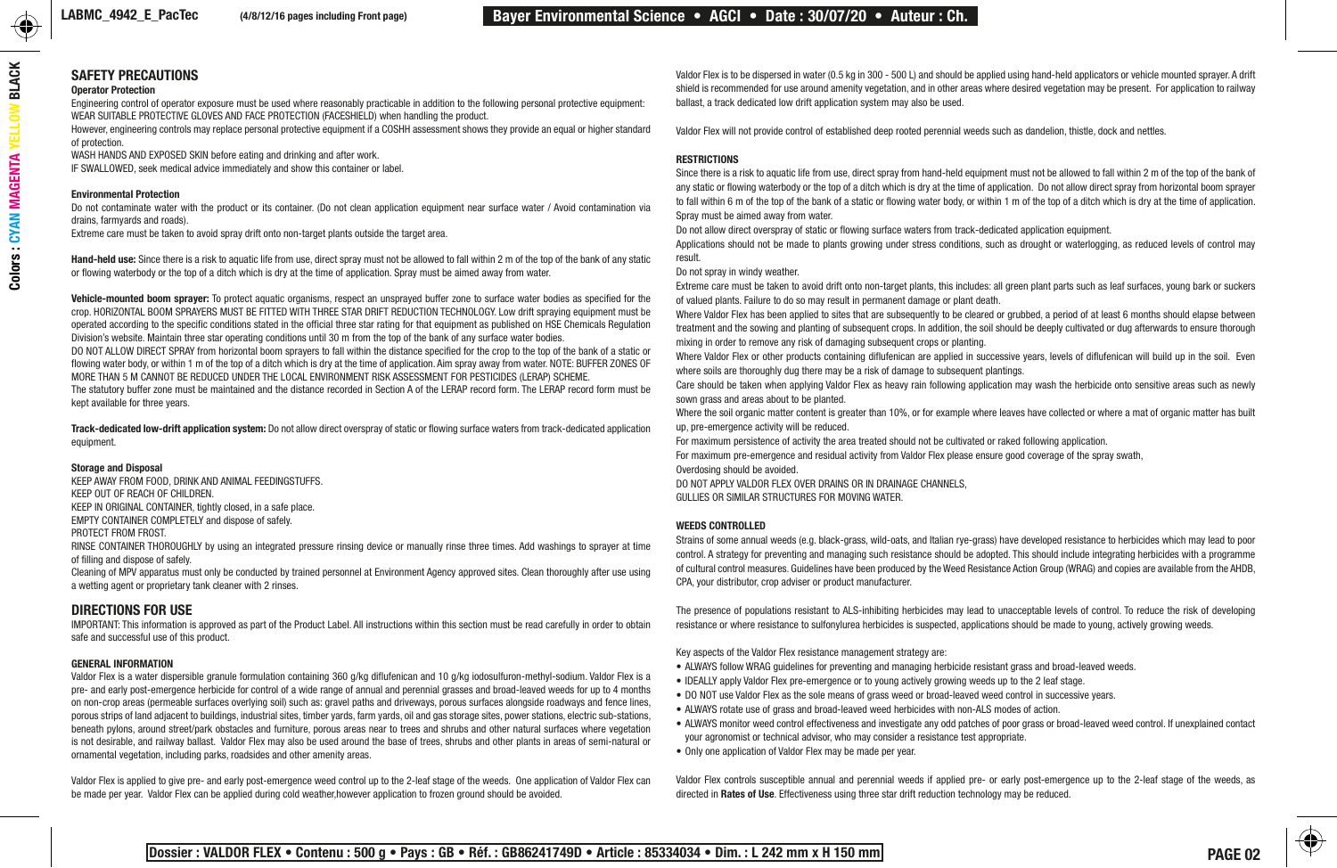### SAFETY PRECAUTIONS

#### Operator Protection

Engineering control of operator exposure must be used where reasonably practicable in addition to the following personal protective equipment: WEAR SUITABLE PROTECTIVE GLOVES AND FACE PROTECTION (FACESHIELD) when handling the product.

However, engineering controls may replace personal protective equipment if a COSHH assessment shows they provide an equal or higher standard of protection.

WASH HANDS AND EXPOSED SKIN before eating and drinking and after work.

IF SWALLOWED, seek medical advice immediately and show this container or label.

#### Environmental Protection

Do not contaminate water with the product or its container. (Do not clean application equipment near surface water / Avoid contamination via drains, farmyards and roads).

Extreme care must be taken to avoid spray drift onto non-target plants outside the target area.

Hand-held use: Since there is a risk to aquatic life from use, direct spray must not be allowed to fall within 2 m of the top of the bank of any static or flowing waterbody or the top of a ditch which is dry at the time of application. Spray must be aimed away from water.

Vehicle-mounted boom sprayer: To protect aquatic organisms, respect an unsprayed buffer zone to surface water bodies as specified for the crop. HORIZONTAL BOOM SPRAYERS MUST BE FITTED WITH THREE STAR DRIFT REDUCTION TECHNOLOGY. Low drift spraying equipment must be operated according to the specific conditions stated in the official three star rating for that equipment as published on HSE Chemicals Regulation Division's website. Maintain three star operating conditions until 30 m from the top of the bank of any surface water bodies.

DO NOT ALLOW DIRECT SPRAY from horizontal boom sprayers to fall within the distance specified for the crop to the top of the bank of a static or flowing water body, or within 1 m of the top of a ditch which is dry at the time of application. Aim spray away from water. NOTE: BUFFER ZONES OF MORE THAN 5 M CANNOT BE REDUCED UNDER THE LOCAL ENVIRONMENT RISK ASSESSMENT FOR PESTICIDES (LERAP) SCHEME.

The statutory buffer zone must be maintained and the distance recorded in Section A of the LERAP record form. The LERAP record form must be kept available for three years.

Track-dedicated low-drift application system: Do not allow direct overspray of static or flowing surface waters from track-dedicated application equipment.

#### Storage and Disposal

KEEP AWAY FROM FOOD, DRINK AND ANIMAL FEEDINGSTUFFS. KEEP OUT OF REACH OF CHILDREN. KEEP IN ORIGINAL CONTAINER, tightly closed, in a safe place. EMPTY CONTAINER COMPLETELY and dispose of safely.

PROTECT FROM FROST.

RINSE CONTAINER THOROUGHLY by using an integrated pressure rinsing device or manually rinse three times. Add washings to sprayer at time of filling and dispose of safely.

Cleaning of MPV apparatus must only be conducted by trained personnel at Environment Agency approved sites. Clean thoroughly after use using a wetting agent or proprietary tank cleaner with 2 rinses.

### DIRECTIONS FOR USE

IMPORTANT: This information is approved as part of the Product Label. All instructions within this section must be read carefully in order to obtain safe and successful use of this product.

#### GENERAL INFORMATION

Valdor Flex is a water dispersible granule formulation containing 360 g/kg diflufenican and 10 g/kg iodosulfuron-methyl-sodium. Valdor Flex is a pre- and early post-emergence herbicide for control of a wide range of annual and perennial grasses and broad-leaved weeds for up to 4 months on non-crop areas (permeable surfaces overlying soil) such as: gravel paths and driveways, porous surfaces alongside roadways and fence lines, porous strips of land adjacent to buildings, industrial sites, timber yards, farm yards, oil and gas storage sites, power stations, electric sub-stations, beneath pylons, around street/park obstacles and furniture, porous areas near to trees and shrubs and other natural surfaces where vegetation is not desirable, and railway ballast. Valdor Flex may also be used around the base of trees, shrubs and other plants in areas of semi-natural or ornamental vegetation, including parks, roadsides and other amenity areas.

Valdor Flex is applied to give pre- and early post-emergence weed control up to the 2-leaf stage of the weeds. One application of Valdor Flex can be made per year. Valdor Flex can be applied during cold weather,however application to frozen ground should be avoided.

Valdor Flex is to be dispersed in water (0.5 kg in 300 - 500 L) and should be applied using hand-held applicators or vehicle mounted sprayer. A drift shield is recommended for use around amenity vegetation, and in other areas where desired vegetation may be present. For application to railway ballast, a track dedicated low drift application system may also be used.

Valdor Flex will not provide control of established deep rooted perennial weeds such as dandelion, thistle, dock and nettles.

#### **RESTRICTIONS**

Since there is a risk to aquatic life from use, direct spray from hand-held equipment must not be allowed to fall within 2 m of the top of the bank of any static or flowing waterbody or the top of a ditch which is dry at the time of application. Do not allow direct spray from horizontal boom sprayer to fall within 6 m of the top of the bank of a static or flowing water body, or within 1 m of the top of a ditch which is dry at the time of application. Spray must be aimed away from water.

Do not allow direct overspray of static or flowing surface waters from track-dedicated application equipment.

Applications should not be made to plants growing under stress conditions, such as drought or waterlogging, as reduced levels of control may result.

#### Do not spray in windy weather.

Extreme care must be taken to avoid drift onto non-target plants, this includes: all green plant parts such as leaf surfaces, young bark or suckers of valued plants. Failure to do so may result in permanent damage or plant death.

Where Valdor Flex has been applied to sites that are subsequently to be cleared or grubbed, a period of at least 6 months should elapse between treatment and the sowing and planting of subsequent crops. In addition, the soil should be deeply cultivated or dug afterwards to ensure thorough mixing in order to remove any risk of damaging subsequent crops or planting.

Where Valdor Flex or other products containing diflufenican are applied in successive years, levels of diflufenican will build up in the soil. Even where soils are thoroughly dug there may be a risk of damage to subsequent plantings.

Care should be taken when applying Valdor Flex as heavy rain following application may wash the herbicide onto sensitive areas such as newly sown grass and areas about to be planted.

Where the soil organic matter content is greater than 10%, or for example where leaves have collected or where a mat of organic matter has built up, pre-emergence activity will be reduced.

For maximum persistence of activity the area treated should not be cultivated or raked following application.

For maximum pre-emergence and residual activity from Valdor Flex please ensure good coverage of the spray swath,

Overdosing should be avoided.

DO NOT APPLY VALDOR FLEX OVER DRAINS OR IN DRAINAGE CHANNELS.

GULLIES OR SIMILAR STRUCTURES FOR MOVING WATER.

#### WEEDS CONTROLLED

Strains of some annual weeds (e.g. black-grass, wild-oats, and Italian rye-grass) have developed resistance to herbicides which may lead to poor control. A strategy for preventing and managing such resistance should be adopted. This should include integrating herbicides with a programme of cultural control measures. Guidelines have been produced by the Weed Resistance Action Group (WRAG) and copies are available from the AHDB, CPA, your distributor, crop adviser or product manufacturer.

The presence of populations resistant to ALS-inhibiting herbicides may lead to unacceptable levels of control. To reduce the risk of developing resistance or where resistance to sulfonylurea herbicides is suspected, applications should be made to young, actively growing weeds.

Key aspects of the Valdor Flex resistance management strategy are:

- ALWAYS follow WRAG guidelines for preventing and managing herbicide resistant grass and broad-leaved weeds.
- IDEALLY apply Valdor Flex pre-emergence or to young actively growing weeds up to the 2 leaf stage.
- DO NOT use Valdor Flex as the sole means of grass weed or broad-leaved weed control in successive years.
- ALWAYS rotate use of grass and broad-leaved weed herbicides with non-ALS modes of action.
- ALWAYS monitor weed control effectiveness and investigate any odd patches of poor grass or broad-leaved weed control. If unexplained contact your agronomist or technical advisor, who may consider a resistance test appropriate.
- Only one application of Valdor Flex may be made per year.

Valdor Flex controls susceptible annual and perennial weeds if applied pre- or early post-emergence up to the 2-leaf stage of the weeds, as directed in Rates of Use. Effectiveness using three star drift reduction technology may be reduced.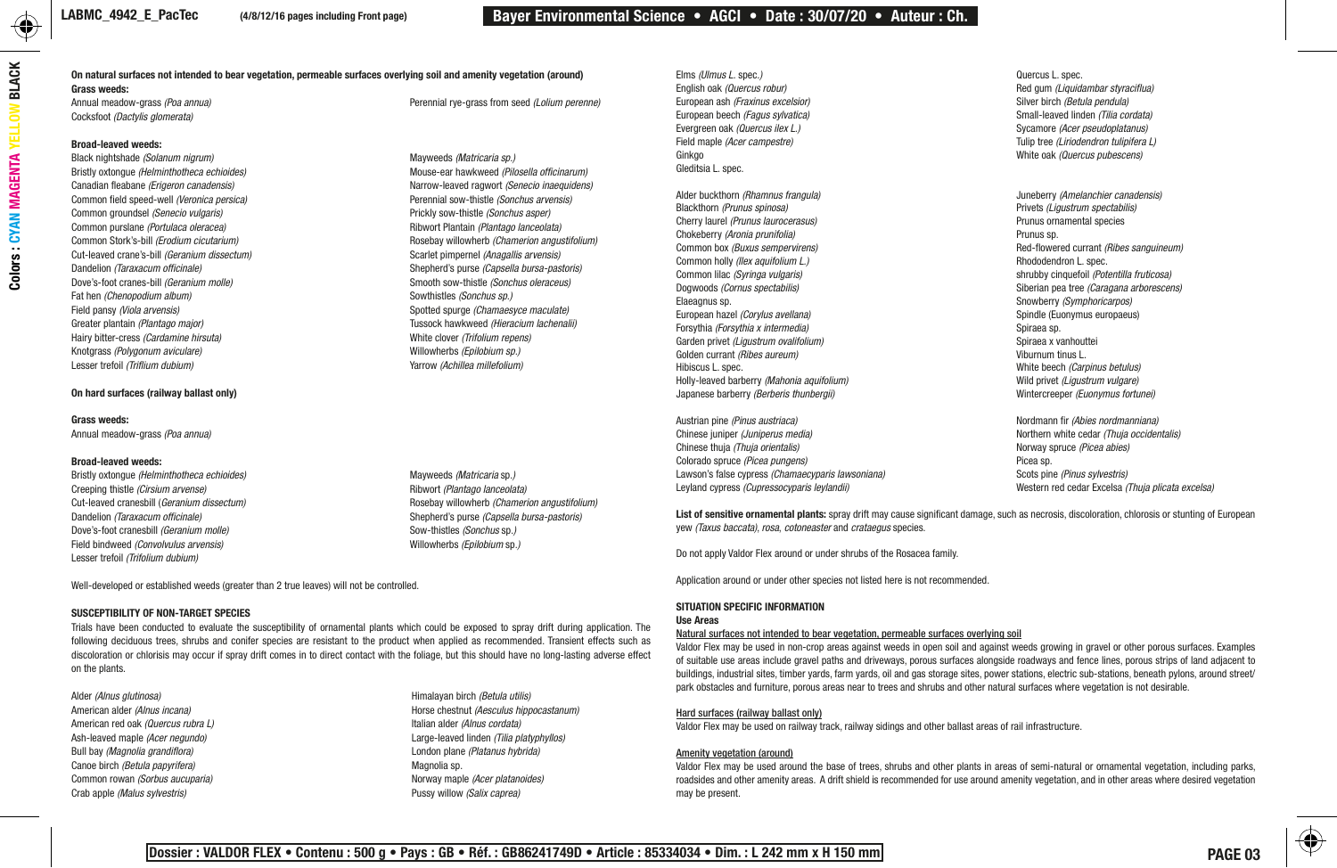#### On natural surfaces not intended to bear vegetation, permeable surfaces overlying soil and amenity vegetation (around)

Grass weeds:<br>Annual meadow-grass (Poa annua) Cocksfoot *(Dactylis glomerata)*

#### Broad-leaved weeds:

Black nightshade *(Solanum nigrum)*<br>Bristly oxtonoue *(Helminthotheca echioides)* Mayweeds *(Matricaria sp.)*<br>Mouse-ear hawkweed *(Pilosella officinarum)* Bristly oxtongue *(Helminthotheca echioides)*<br>Canadian fleabane *(Erigeron canadensis)* Common field speed-well *(Veronica persica)* Perennial sow-thistle *(Sonchus arvensis)*<br>Common groundsel *(Senecio vulgaris) Production* Brownser Prickly sow-thistle *(Sonchus asper)* Common groundsel *(Senecio vulgaris)* Prickly sow-thistle *(Sonchus asper)* Common purslane *(Portulaca oleracea)* Common Stork's-bill *(Erodium cicutarium)* **Rosebay willowherb** *(Chamerion angustifolium)*<br> **Cut-leaved crane's-bill** *(Geranium dissectum)* **Rosedian Constant Constant Constant Constant Constant Constant Constant Constan** Cut-leaved crane's-bill *(Geranium dissectum)*<br>Dandelion *(Taraxacum officinale)* Dandelion *(Taraxacum officinale)* Shepherd's purse *(Capsella bursa-pastoris)* Fat hen *(Chenopodium album)* Sowthistles *(Sonchus sp.)* Field pansy *(Viola arvensis)* Spotted spurge *(Chamaesyce maculate)* Greater plantain *(Plantago major)* Tussock hawkweed *(Hieracium lachenalii)*<br>
Hairv bitter-cress *(Cardamine hirsuta)* Tussock hawkweed *(Hieracium repens)* Hairy bitter-cress *(Cardamine hirsuta)* White clover *(Trifolium repens)* Knotgrass *(Polygonum aviculare)*<br>Lesser trefoil *(Triflium dubium)* 

#### On hard surfaces (railway ballast only)

#### Grass weeds:

Annual meadow-grass *(Poa annua)*

#### Broad-leaved weeds:

Bristly oxtongue *(Helminthotheca echioides)* Mayweeds *(Matricaria sp.)*<br>Creeping thistle *(Cirsium arvense)* Mayweeds *(National arceolata)* Ribwort *(Plantago lanceolata)* Creeping thistle *(Cirsium arvense)* Dandelion *(Taraxacum officinale)* Shepherd's purse *(Capsella bursa-pastoris)*<br>
Dove's-foot cranesbill *(Geranium molle)* Sow-thistles *(Sonchus so.)* Dove's-foot cranesbill *(Geranium molle)* Sow-thistles *(Sonchus* sp.)<br>
Field bindweed *(Convolvulus arvensis)* Sow-thistles *(Sonchus sp.)* Willowherbs *(Epilobium* sp.) Field bindweed *(Convolvulus arvensis)* Lesser trefoil *(Trifolium dubium)*

Well-developed or established weeds (greater than 2 true leaves) will not be controlled.

#### SUSCEPTIBILITY OF NON-TARGET SPECIES

Trials have been conducted to evaluate the susceptibility of ornamental plants which could be exposed to spray drift during application. The following deciduous trees, shrubs and conifer species are resistant to the product when applied as recommended. Transient effects such as discoloration or chlorisis may occur if spray drift comes in to direct contact with the foliage, but this should have no long-lasting adverse effect on the plants.

Alder *(Alnus glutinosa)* Himalayan birch *(Betula utilis)* American alder *(Alnus incana)* Horse chestnut *(Aesculus hippocastanum)* American red oak *(Quercus rubra L)* Italian alder *(Alnus cordata)* Ash-leaved maple *(Acer negundo)* Large-leaved linden *(Tilia platyphyllos)* Bull bay *(Magnolia grandiflora)* London plane *(Platanus hybrida)* Canoe birch *(Betula papyrifera)* Magnolia sp. Common rowan *(Sorbus aucuparia)* Norway maple *(Acer platanoides)* Crab apple *(Malus sylvestris)* Pussy willow *(Salix caprea)*

Smooth sow-thistle *(Sonchus oleraceus)* Lesser trefoil *(Triflium dubium)* Yarrow *(Achillea millefolium)*

Perennial rye-grass from seed *(Lolium perenne)* 

Narrow-leaved ragwort *(Senecio inaequidens)*<br>Perennial sow-thistle *(Sonchus arvensis)* 

Cut-leaved cranesbill *(Geranium dissectum)* and the secteor of the Rosebay willowherb *(Chamerion angustifolium)* 

European ash *(Fraxinus excelsior)*<br>European beech *(Fagus sylvatica)* Evergreen oak *(Quercus ilex L.)* Sycamore *(Acer pseudoplatanus)* Ginkgo White oak *(Quercus pubescens)* Gleditsia L. spec.

Alder buckthorn *(Rhamnus frangula)* Juneberry *(Amelanchier canadensis)* Cherry laurel *(Prunus laurocerasus)* Chokeberry *(Aronia prunifolia)* exercise and provide a proposition of the Prunus sp.<br>Prunus provident provident and provident and provident and the Prunus sp. Common holly *(Ilex aquifolium L.)*<br>Common lilac *(Svringa vulgaris)* Common lilac *(Syringa vulgaris)* shrubby cinquefoil *(Potentilla fruticosa)* Dogwoods *(Cornus spectabilis)* Siberian pea tree *(Caragana arborescens)*<br>Elaeagnus sp. Siberian peace of Siberian peace of Siberian pea tree *(Caragana arborescens)* European hazel *(Corylus avellana)* Spindle (Eucones europaeus) Spindle (Eucones europaeus) Spindle (Eucones europaeus)<br>Spiraea sp. Spiraea sp. Spiraea sp. Spiraea sp. Spiraea sp. Spiraea sp. Spiraea sp. Spiraea sp. Spirae Forsythia *(Forsythia x intermedia)*<br>Garden privet *(Ligustrum ovalifolium)* Spiraea sp. Spiraea x vanhouttei Garden privet *(Ligustrum ovalifolium)* entitlement of the serve of the Spiraea x vanhout Spiraea x vanhout the serve of the Spiraea x vanhout of the Spiraea x vanhout of the Spiraea x vanhout of the Spiraea x vanhout the Golden currant *(Ribes aureum)*<br>Hibiscus L. spec. Holly-leaved barberry *(Mahonia aquifolium)* Wild privet *(Ligustrum vulgare)* Japanese barberry *(Berberis thunbergii)* 

Austrian pine *(Pinus austriaca)* Nordmann fir *(Abies nordmanniana)* Chinese thuja *(Thuja orientalis)* Norway spruce *(Picea abies)* Colorado spruce *(Picea pungens)* Picea sp. Lawson's false cypress *(Chamaecyparis lawsoniana)*<br>Levland cypress *(Cupressocyparis levlandii)* 

Elms *(Ulmus L.* spec*.)* Quercus L. spec. Red gum *(Liquidambar styraciflua)*<br>Silver birch *(Betula pendula)* European beech *(Fagus sylvatica)* Small-leaved linden *(Tilia cordata)* Field maple *(Acer campestre)* Tulip tree *(Liriodendron tulipifera L)*

> Privets *(Ligustrum spectabilis)* Prunus ornamental species Red-flowered currant *(Ribes sanguineum)*<br>Rhododendron L. spec. Snowberry *(Symphoricarpos)*<br>Spindle *(Euonymus europaeus)* White beech *(Carpinus betulus)*<br>Wild privet *(Ligustrum vulgare)*

Chinese juniper *(Juniperus media)* Northern white cedar *(Thuja occidentalis)* Leyland cypress *(Cupressocyparis leylandii)* Western red cedar Excelsa *(Thuja plicata excelsa)*

List of sensitive ornamental plants: spray drift may cause significant damage, such as necrosis, discoloration, chlorosis or stunting of European yew *(Taxus baccata)*, *rosa*, *cotoneaster* and *crataegus* species.

Do not apply Valdor Flex around or under shrubs of the Rosacea family.

Application around or under other species not listed here is not recommended.

#### SITUATION SPECIFIC INFORMATION Use Areas

#### Natural surfaces not intended to bear vegetation, permeable surfaces overlying soil

Valdor Flex may be used in non-crop areas against weeds in open soil and against weeds growing in gravel or other porous surfaces. Examples of suitable use areas include gravel paths and driveways, porous surfaces alongside roadways and fence lines, porous strips of land adjacent to buildings, industrial sites, timber vards, farm vards, oil and gas storage sites, power stations, electric sub-stations, beneath pylons, around street/ park obstacles and furniture, porous areas near to trees and shrubs and other natural surfaces where vegetation is not desirable.

#### Hard surfaces (railway ballast only)

Valdor Flex may be used on railway track, railway sidings and other ballast areas of rail infrastructure.

#### Amenity vegetation (around)

Valdor Flex may be used around the base of trees, shrubs and other plants in areas of semi-natural or ornamental vegetation, including parks, roadsides and other amenity areas. A drift shield is recommended for use around amenity vegetation, and in other areas where desired vegetation may be present.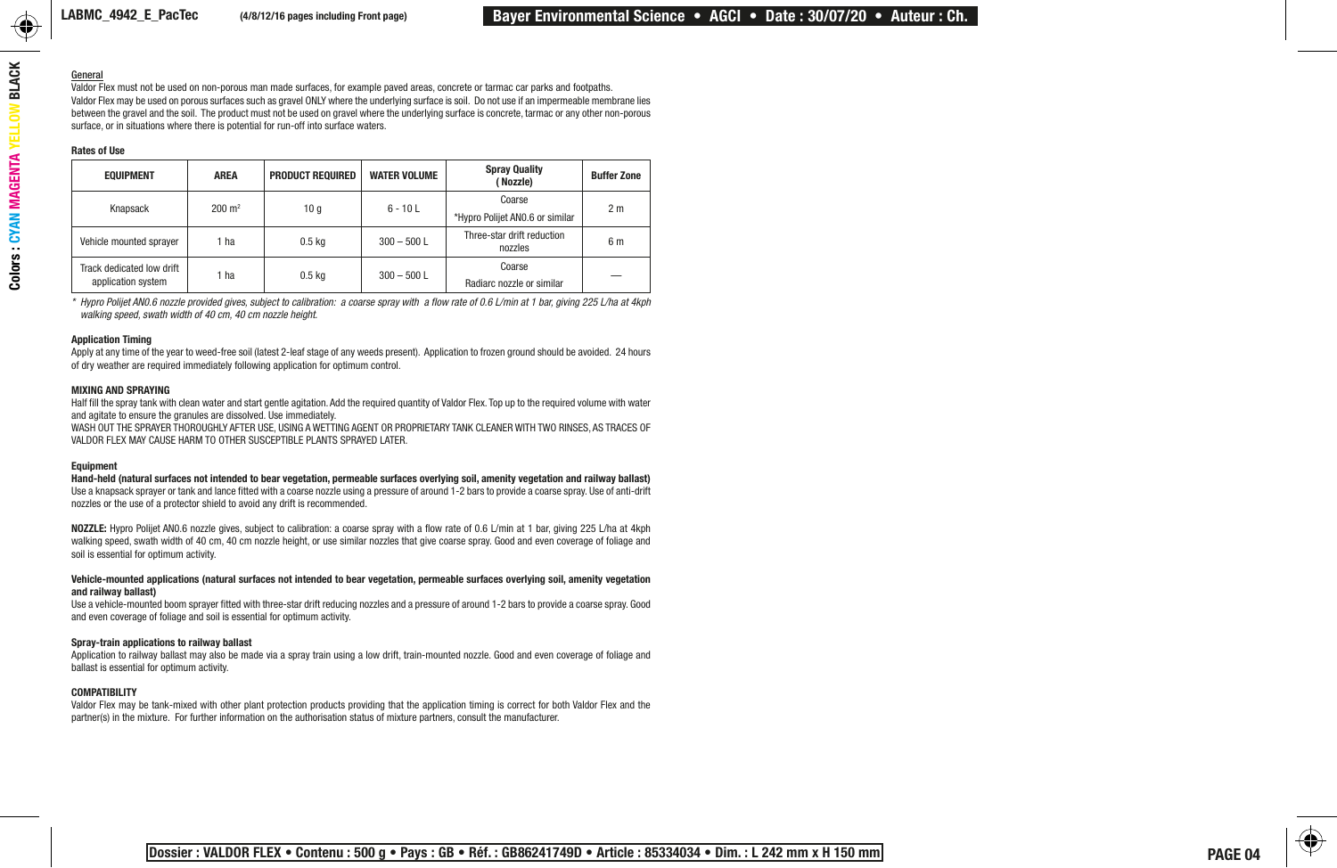#### General

Valdor Flex must not be used on non-porous man made surfaces, for example paved areas, concrete or tarmac car parks and footpaths. Valdor Flex may be used on porous surfaces such as gravel ONLY where the underlying surface is soil. Do not use if an impermeable membrane lies between the gravel and the soil. The product must not be used on gravel where the underlying surface is concrete, tarmac or any other non-porous surface, or in situations where there is potential for run-off into surface waters.

#### Rates of Use

| <b>EQUIPMENT</b>                                | <b>AREA</b>       | <b>PRODUCT REQUIRED</b> | <b>WATER VOLUME</b> | <b>Spray Quality</b><br>(Nozzle)      | <b>Buffer Zone</b> |
|-------------------------------------------------|-------------------|-------------------------|---------------------|---------------------------------------|--------------------|
| Knapsack                                        | $200 \text{ m}^2$ | 10q                     | $6 - 10 L$          | Coarse                                | 2 <sub>m</sub>     |
|                                                 |                   |                         |                     | *Hypro Polijet ANO.6 or similar       |                    |
| Vehicle mounted sprayer                         | 1 ha              | 0.5 <sub>kq</sub>       | $300 - 500$ L       | Three-star drift reduction<br>nozzles | 6 m                |
| Track dedicated low drift<br>application system | 1 ha              | $0.5$ kg                | $300 - 500$ L       | Coarse                                |                    |
|                                                 |                   |                         |                     | Radiarc nozzle or similar             |                    |

*\* Hypro Polijet AN0.6 nozzle provided gives, subject to calibration: a coarse spray with a flow rate of 0.6 L/min at 1 bar, giving 225 L/ha at 4kph walking speed, swath width of 40 cm, 40 cm nozzle height.*

#### Application Timing

Apply at any time of the year to weed-free soil (latest 2-leaf stage of any weeds present). Application to frozen ground should be avoided. 24 hours of dry weather are required immediately following application for optimum control.

#### MIXING AND SPRAYING

Half fill the spray tank with clean water and start gentle agitation. Add the required quantity of Valdor Flex. Top up to the required volume with water and agitate to ensure the granules are dissolved. Use immediately.

WASH OUT THE SPRAYER THOROUGHLY AFTER USE, USING A WETTING AGENT OR PROPRIETARY TANK CLEANER WITH TWO RINSES, AS TRACES OF VALDOR FLEX MAY CAUSE HARM TO OTHER SUSCEPTIBLE PLANTS SPRAYED LATER.

#### Equipment

Hand-held (natural surfaces not intended to bear vegetation, permeable surfaces overlying soil, amenity vegetation and railway ballast) Use a knapsack sprayer or tank and lance fitted with a coarse nozzle using a pressure of around 1-2 bars to provide a coarse spray. Use of anti-drift nozzles or the use of a protector shield to avoid any drift is recommended.

NOZZLE: Hypro Polijet AN0.6 nozzle gives, subject to calibration: a coarse spray with a flow rate of 0.6 L/min at 1 bar, giving 225 L/ha at 4kph walking speed, swath width of 40 cm, 40 cm nozzle height, or use similar nozzles that give coarse spray. Good and even coverage of foliage and soil is essential for optimum activity.

#### Vehicle-mounted applications (natural surfaces not intended to bear vegetation, permeable surfaces overlying soil, amenity vegetation and railway ballast)

Use a vehicle-mounted boom sprayer fitted with three-star drift reducing nozzles and a pressure of around 1-2 bars to provide a coarse spray. Good and even coverage of foliage and soil is essential for optimum activity.

#### Spray-train applications to railway ballast

Application to railway ballast may also be made via a spray train using a low drift, train-mounted nozzle. Good and even coverage of foliage and ballast is essential for optimum activity.

#### COMPATIBILITY

Valdor Flex may be tank-mixed with other plant protection products providing that the application timing is correct for both Valdor Flex and the partner(s) in the mixture. For further information on the authorisation status of mixture partners, consult the manufacturer.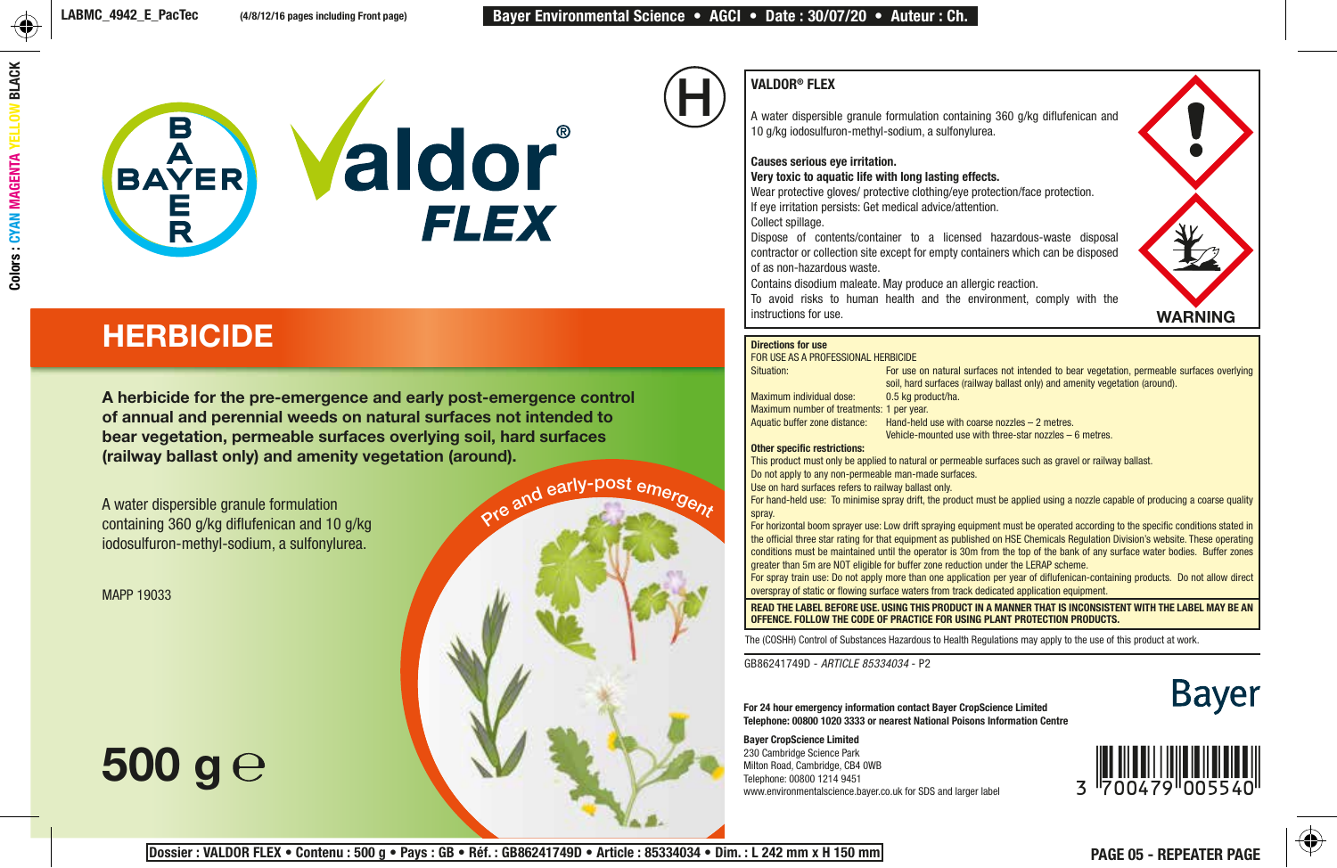

## **HERBICIDE**

A herbicide for the pre-emergence and early post-emergence control of annual and perennial weeds on natural surfaces not intended to bear vegetation, permeable surfaces overlying soil, hard surfaces (railway ballast only) and amenity vegetation (around).

A water dispersible granule formulation containing 360 g/kg diflufenican and 10 g/kg iodosulfuron-methyl-sodium, a sulfonylurea.

MAPP 19033

# 500 g $\rm{e}$



### VALDOR® FLEX

A water dispersible granule formulation containing 360 g/kg diflufenican and 10 g/kg iodosulfuron-methyl-sodium, a sulfonylurea.

### Causes serious eye irritation.

Very toxic to aquatic life with long lasting effects.

Wear protective gloves/ protective clothing/eye protection/face protection. If eye irritation persists: Get medical advice/attention.

Collect spillage.

Dispose of contents/container to a licensed hazardous-waste disposal contractor or collection site except for empty containers which can be disposed of as non-hazardous waste.

Contains disodium maleate. May produce an allergic reaction.

To avoid risks to human health and the environment, comply with the instructions for use.



#### Directions for use

FOR USE AS A PROFESSIONAL HERBICIDE<br>Situation: For use

Maximum individual dose:

For use on natural surfaces not intended to bear vegetation, permeable surfaces overlying soil, hard surfaces (railway ballast only) and amenity vegetation (around).<br>0.5 kg product/ha. Maximum number of treatments: 1 per year.<br>Aquatic buffer zone distance: Hand-held Hand-held use with coarse nozzles  $-2$  metres.

Vehicle-mounted use with three-star nozzles – 6 metres.

#### Other specific restrictions:

This product must only be applied to natural or permeable surfaces such as gravel or railway ballast.

Do not apply to any non-permeable man-made surfaces.

Use on hard surfaces refers to railway ballast only.

For hand-held use: To minimise spray drift, the product must be applied using a nozzle capable of producing a coarse quality spray.

For horizontal boom sprayer use: Low drift spraying equipment must be operated according to the specific conditions stated in the official three star rating for that equipment as published on HSE Chemicals Regulation Division's website. These operating conditions must be maintained until the operator is 30m from the top of the bank of any surface water bodies. Buffer zones greater than 5m are NOT eligible for buffer zone reduction under the LERAP scheme.

For spray train use: Do not apply more than one application per year of diflufenican-containing products. Do not allow direct overspray of static or flowing surface waters from track dedicated application equipment.

READ THE LABEL BEFORE USE. USING THIS PRODUCT IN A MANNER THAT IS INCONSISTENT WITH THE LABEL MAY BE AN OFFENCE. FOLLOW THE CODE OF PRACTICE FOR USING PLANT PROTECTION PRODUCTS.

The (COSHH) Control of Substances Hazardous to Health Regulations may apply to the use of this product at work.

GB86241749D - *ARTICLE 85334034* - P2



For 24 hour emergency information contact Bayer CropScience Limited Telephone: 00800 1020 3333 or nearest National Poisons Information Centre

Bayer CropScience Limited 230 Cambridge Science Park Milton Road, Cambridge, CB4 0WB Telephone: 00800 1214 9451 www.environmentalscience.bayer.co.uk for SDS and larger label



Pre and early-post emergent